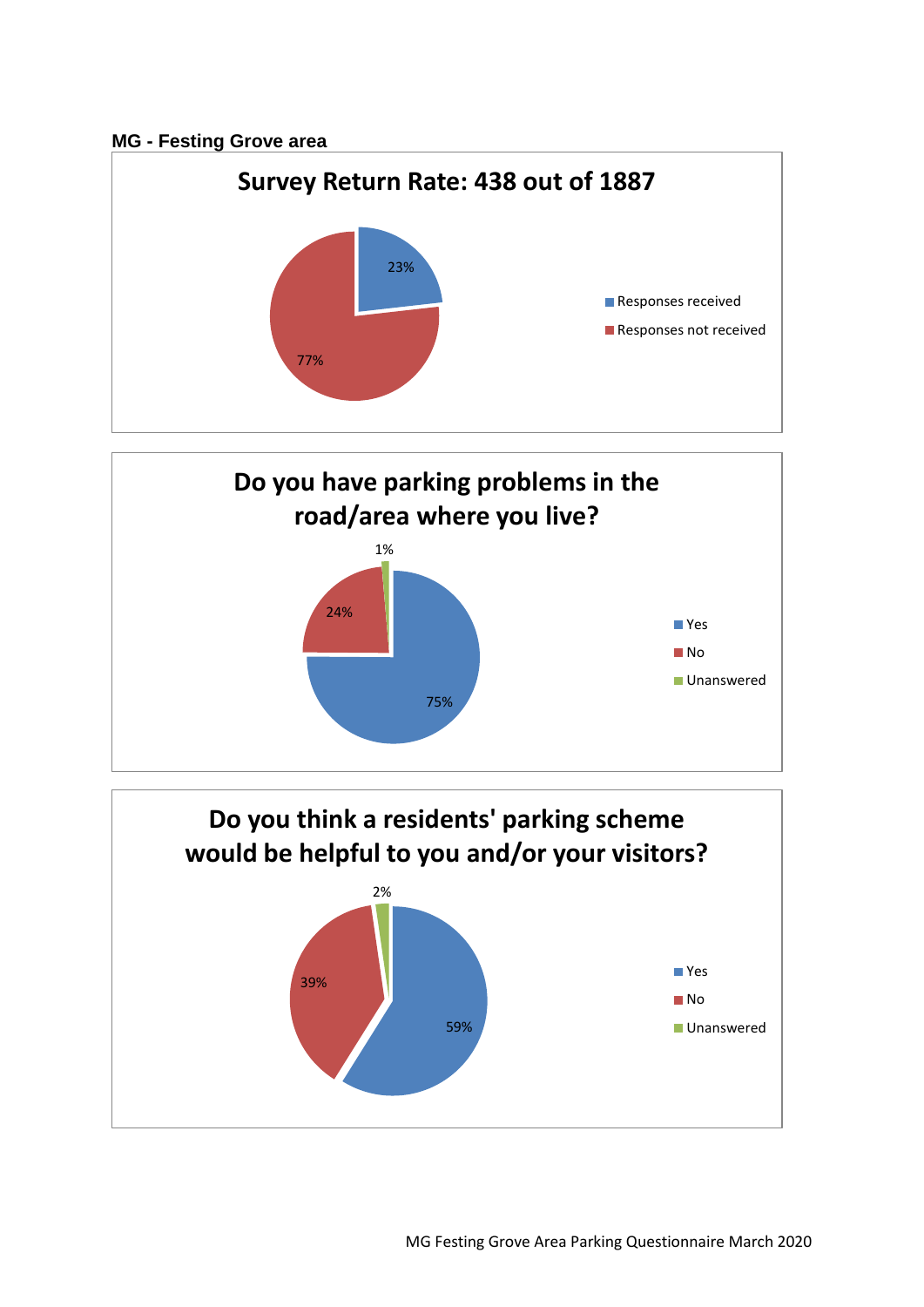## **MG - Festing Grove area**





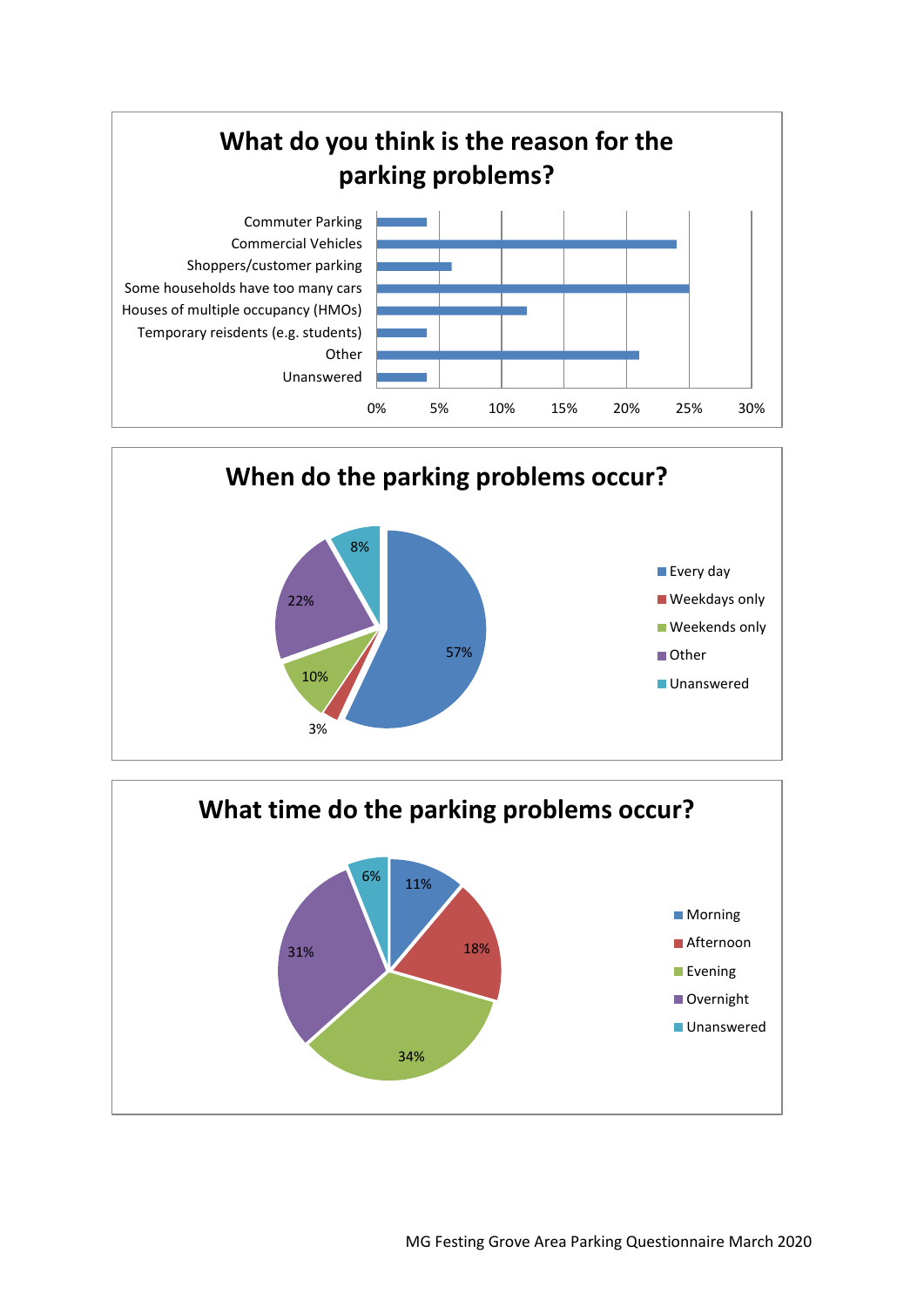



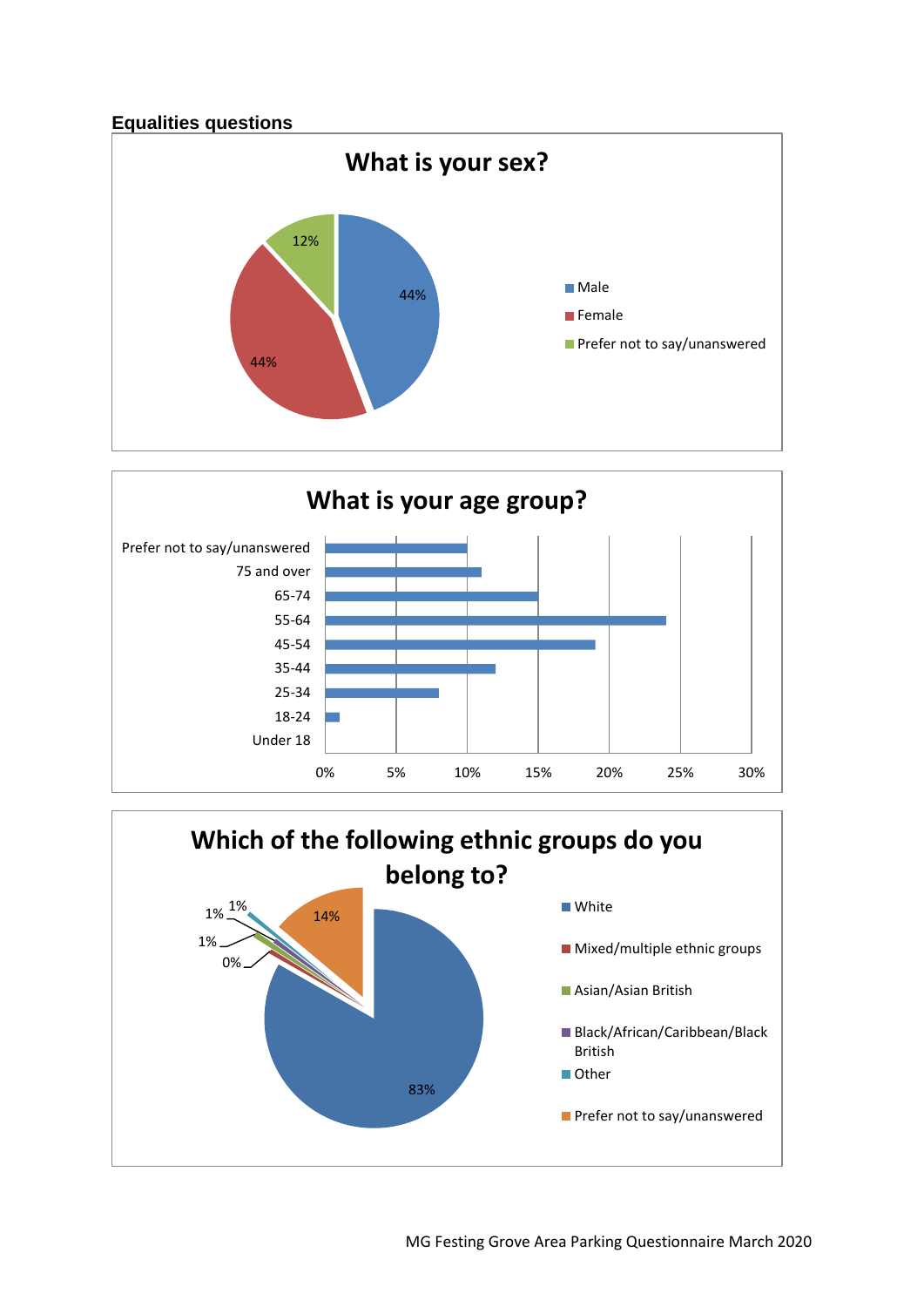



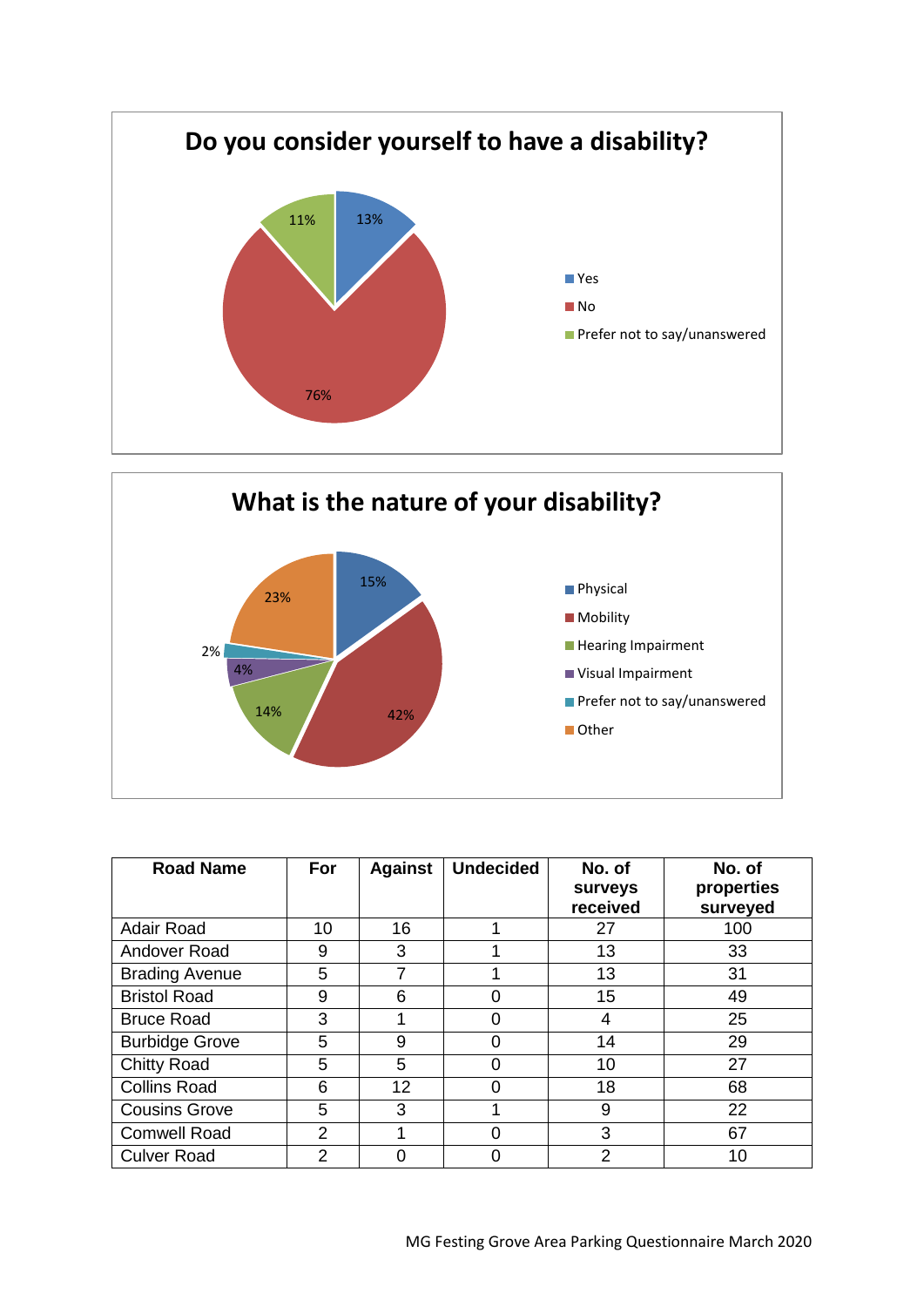



| <b>Road Name</b>      | For            | <b>Against</b>  | <b>Undecided</b> | No. of<br>surveys<br>received | No. of<br>properties<br>surveyed |
|-----------------------|----------------|-----------------|------------------|-------------------------------|----------------------------------|
| Adair Road            | 10             | 16              |                  | 27                            | 100                              |
| Andover Road          | 9              | 3               |                  | 13                            | 33                               |
| <b>Brading Avenue</b> | 5              |                 |                  | 13                            | 31                               |
| <b>Bristol Road</b>   | 9              | 6               |                  | 15                            | 49                               |
| <b>Bruce Road</b>     | 3              |                 |                  | 4                             | 25                               |
| <b>Burbidge Grove</b> | 5              | 9               | ი                | 14                            | 29                               |
| <b>Chitty Road</b>    | 5              | 5               |                  | 10                            | 27                               |
| <b>Collins Road</b>   | 6              | 12 <sub>2</sub> |                  | 18                            | 68                               |
| <b>Cousins Grove</b>  | 5              | 3               |                  | 9                             | 22                               |
| <b>Comwell Road</b>   | $\overline{2}$ |                 | Ⴖ                | 3                             | 67                               |
| <b>Culver Road</b>    | 2              |                 |                  | $\mathfrak{p}$                | 10                               |